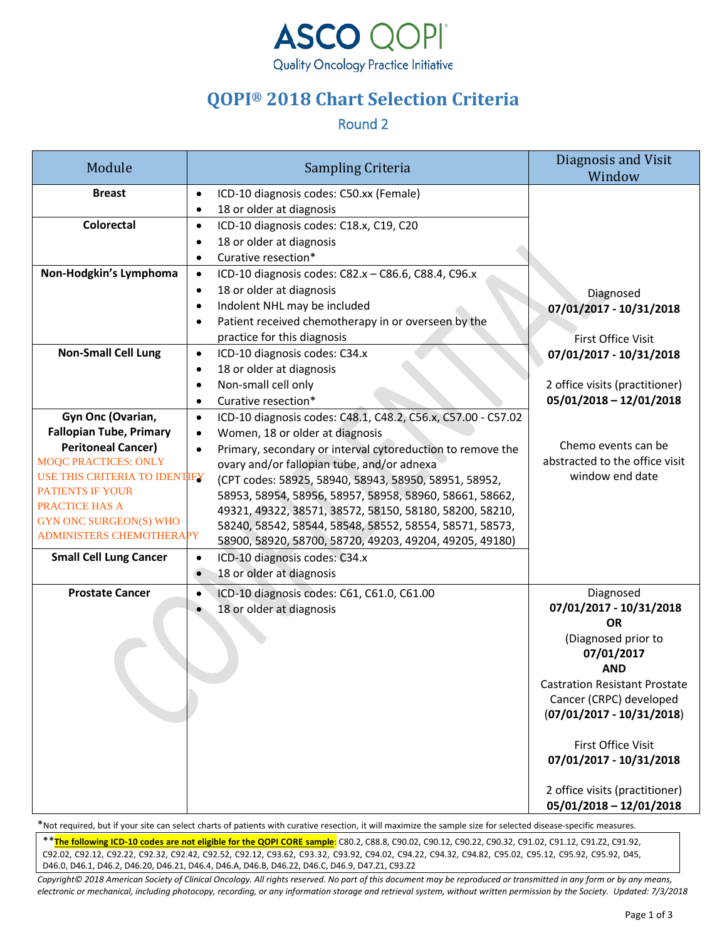

# **QOPI® 2018 Chart Selection Criteria**

#### Round 2

| Module                                                   | Sampling Criteria                                                                                   | Diagnosis and Visit<br>Window     |
|----------------------------------------------------------|-----------------------------------------------------------------------------------------------------|-----------------------------------|
| <b>Breast</b>                                            | ICD-10 diagnosis codes: C50.xx (Female)<br>$\bullet$<br>18 or older at diagnosis<br>$\bullet$       |                                   |
| <b>Colorectal</b>                                        | ICD-10 diagnosis codes: C18.x, C19, C20<br>$\bullet$                                                |                                   |
|                                                          | 18 or older at diagnosis                                                                            |                                   |
|                                                          | Curative resection*<br>$\bullet$                                                                    |                                   |
| Non-Hodgkin's Lymphoma                                   | ICD-10 diagnosis codes: C82.x - C86.6, C88.4, C96.x<br>$\bullet$                                    |                                   |
|                                                          | 18 or older at diagnosis<br>$\bullet$<br>Indolent NHL may be included<br>٠                          | Diagnosed                         |
|                                                          | Patient received chemotherapy in or overseen by the                                                 | 07/01/2017 - 10/31/2018           |
|                                                          | practice for this diagnosis                                                                         | First Office Visit                |
| <b>Non-Small Cell Lung</b>                               | ICD-10 diagnosis codes: C34.x<br>$\bullet$                                                          | 07/01/2017 - 10/31/2018           |
|                                                          | 18 or older at diagnosis<br>٠                                                                       |                                   |
|                                                          | Non-small cell only                                                                                 | 2 office visits (practitioner)    |
|                                                          | Curative resection*<br>$\bullet$                                                                    | 05/01/2018 - 12/01/2018           |
| Gyn Onc (Ovarian,                                        | ICD-10 diagnosis codes: C48.1, C48.2, C56.x, C57.00 - C57.02<br>$\bullet$                           |                                   |
| <b>Fallopian Tube, Primary</b>                           | Women, 18 or older at diagnosis<br>$\bullet$                                                        | Chemo events can be               |
| <b>Peritoneal Cancer)</b><br><b>MOQC PRACTICES: ONLY</b> | Primary, secondary or interval cytoreduction to remove the                                          | abstracted to the office visit    |
| <b>USE THIS CRITERIA TO IDENTIFY</b>                     | ovary and/or fallopian tube, and/or adnexa<br>(CPT codes: 58925, 58940, 58943, 58950, 58951, 58952, | window end date                   |
| <b>PATIENTS IF YOUR</b>                                  | 58953, 58954, 58956, 58957, 58958, 58960, 58661, 58662,                                             |                                   |
| <b>PRACTICE HAS A</b>                                    | 49321, 49322, 38571, 38572, 58150, 58180, 58200, 58210,                                             |                                   |
| <b>GYN ONC SURGEON(S) WHO</b>                            | 58240, 58542, 58544, 58548, 58552, 58554, 58571, 58573,                                             |                                   |
| ADMINISTERS CHEMOTHERAPY                                 | 58900, 58920, 58700, 58720, 49203, 49204, 49205, 49180)                                             |                                   |
| <b>Small Cell Lung Cancer</b>                            | ICD-10 diagnosis codes: C34.x<br>$\bullet$                                                          |                                   |
|                                                          | 18 or older at diagnosis<br>$\bullet$                                                               |                                   |
| <b>Prostate Cancer</b>                                   | ICD-10 diagnosis codes: C61, C61.0, C61.00<br>$\bullet$                                             | Diagnosed                         |
|                                                          | 18 or older at diagnosis                                                                            | 07/01/2017 - 10/31/2018           |
|                                                          |                                                                                                     | <b>OR</b>                         |
|                                                          |                                                                                                     | (Diagnosed prior to<br>07/01/2017 |
|                                                          |                                                                                                     | <b>AND</b>                        |
|                                                          |                                                                                                     | Castration Resistant Prostate     |
|                                                          |                                                                                                     | Cancer (CRPC) developed           |
|                                                          |                                                                                                     | $(07/01/2017 - 10/31/2018)$       |
|                                                          |                                                                                                     | First Office Visit                |
|                                                          |                                                                                                     | 07/01/2017 - 10/31/2018           |
|                                                          |                                                                                                     | 2 office visits (practitioner)    |
|                                                          |                                                                                                     | $05/01/2018 - 12/01/2018$         |

\*Not required, but if your site can select charts of patients with curative resection, it will maximize the sample size for selected disease-specific measures.

\*\***The following ICD-10 codes are not eligible for the QOPI CORE sample**: C80.2, C88.8, C90.02, C90.12, C90.22, C90.32, C91.02, C91.12, C91.Z2, C91.92, C92.02, C92.12, C92.22, C92.32, C92.42, C92.52, C92.12, C93.62, C93.32, C93.92, C94.02, C94.22, C94.32, C94.82, C95.02, C95.12, C95.92, C95.92, D45, D46.0, D46.1, D46.2, D46.20, D46.21, D46.4, D46.A, D46.B, D46.22, D46.C, D46.9, D47.Z1, C93.Z2

*Copyright© 2018 American Society of Clinical Oncology. All rights reserved. No part of this document may be reproduced or transmitted in any form or by any means, electronic or mechanical, including photocopy, recording, or any information storage and retrieval system, without written permission by the Society. Updated: 7/3/2018*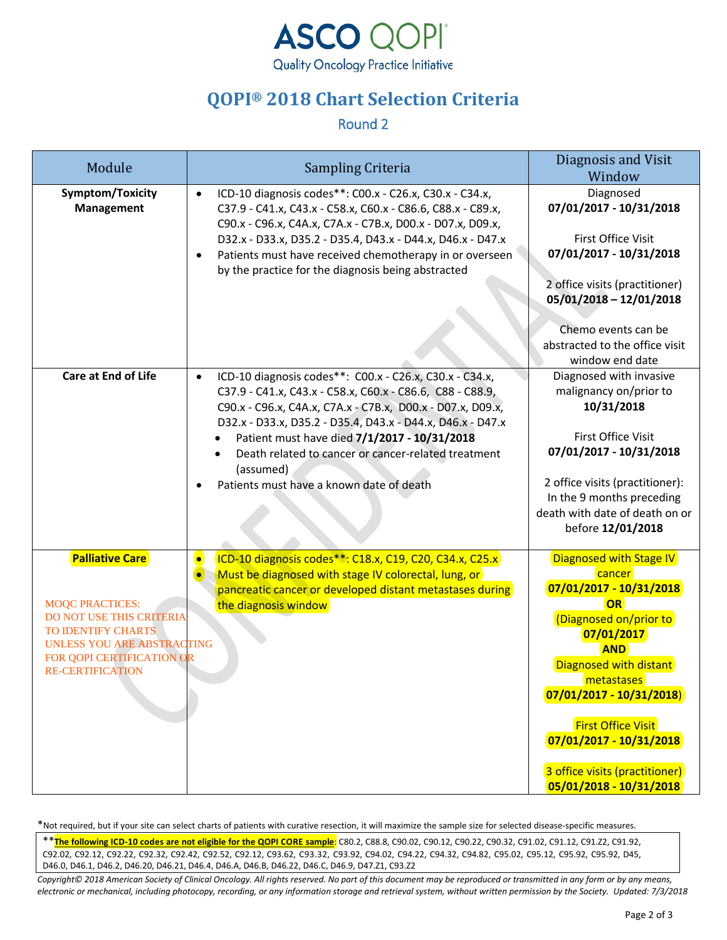

## **QOPI® 2018 Chart Selection Criteria**

Round 2

| Module                                                                                                                                                                                          | Sampling Criteria                                                                                                                                                                                                                                                                                                                                                                                                             | Diagnosis and Visit<br>Window                                                                                                                                                                                                                                                                                              |
|-------------------------------------------------------------------------------------------------------------------------------------------------------------------------------------------------|-------------------------------------------------------------------------------------------------------------------------------------------------------------------------------------------------------------------------------------------------------------------------------------------------------------------------------------------------------------------------------------------------------------------------------|----------------------------------------------------------------------------------------------------------------------------------------------------------------------------------------------------------------------------------------------------------------------------------------------------------------------------|
| Symptom/Toxicity<br><b>Management</b>                                                                                                                                                           | ICD-10 diagnosis codes**: C00.x - C26.x, C30.x - C34.x,<br>$\bullet$<br>C37.9 - C41.x, C43.x - C58.x, C60.x - C86.6, C88.x - C89.x,<br>C90.x - C96.x, C4A.x, C7A.x - C7B.x, D00.x - D07.x, D09.x,<br>D32.x - D33.x, D35.2 - D35.4, D43.x - D44.x, D46.x - D47.x<br>Patients must have received chemotherapy in or overseen<br>by the practice for the diagnosis being abstracted                                              | Diagnosed<br>07/01/2017 - 10/31/2018<br>First Office Visit<br>07/01/2017 - 10/31/2018<br>2 office visits (practitioner)<br>05/01/2018 - 12/01/2018<br>Chemo events can be<br>abstracted to the office visit<br>window end date                                                                                             |
| <b>Care at End of Life</b>                                                                                                                                                                      | ICD-10 diagnosis codes**: C00.x - C26.x, C30.x - C34.x,<br>$\bullet$<br>C37.9 - C41.x, C43.x - C58.x, C60.x - C86.6, C88 - C88.9,<br>C90.x - C96.x, C4A.x, C7A.x - C7B.x, D00.x - D07.x, D09.x,<br>D32.x - D33.x, D35.2 - D35.4, D43.x - D44.x, D46.x - D47.x<br>Patient must have died 7/1/2017 - 10/31/2018<br>Death related to cancer or cancer-related treatment<br>(assumed)<br>Patients must have a known date of death | Diagnosed with invasive<br>malignancy on/prior to<br>10/31/2018<br><b>First Office Visit</b><br>07/01/2017 - 10/31/2018<br>2 office visits (practitioner):<br>In the 9 months preceding<br>death with date of death on or<br>before 12/01/2018                                                                             |
| <b>Palliative Care</b><br><b>MOQC PRACTICES:</b><br><b>DO NOT USE THIS CRITERIA</b><br>TO IDENTIFY CHARTS<br>UNLESS YOU ARE ABSTRACTING<br>FOR QOPI CERTIFICATION OR<br><b>RE-CERTIFICATION</b> | ICD-10 diagnosis codes**: C18.x, C19, C20, C34.x, C25.x<br>$\bullet$<br>Must be diagnosed with stage IV colorectal, lung, or<br>$\bullet$<br>pancreatic cancer or developed distant metastases during<br>the diagnosis window                                                                                                                                                                                                 | Diagnosed with Stage IV<br>cancer<br>07/01/2017 - 10/31/2018<br><b>OR</b><br>(Diagnosed on/prior to<br>07/01/2017<br><b>AND</b><br>Diagnosed with distant<br>metastases<br>$07/01/2017 - 10/31/2018)$<br><b>First Office Visit</b><br>07/01/2017 - 10/31/2018<br>3 office visits (practitioner)<br>05/01/2018 - 10/31/2018 |

\*Not required, but if your site can select charts of patients with curative resection, it will maximize the sample size for selected disease-specific measures.

\*\***The following ICD-10 codes are not eligible for the QOPI CORE sample**: C80.2, C88.8, C90.02, C90.12, C90.22, C90.32, C91.02, C91.12, C91.Z2, C91.92, C92.02, C92.12, C92.22, C92.32, C92.42, C92.52, C92.12, C93.62, C93.32, C93.92, C94.02, C94.22, C94.32, C94.82, C95.02, C95.12, C95.92, C95.92, D45, D46.0, D46.1, D46.2, D46.20, D46.21, D46.4, D46.A, D46.B, D46.22, D46.C, D46.9, D47.Z1, C93.Z2

*Copyright© 2018 American Society of Clinical Oncology. All rights reserved. No part of this document may be reproduced or transmitted in any form or by any means, electronic or mechanical, including photocopy, recording, or any information storage and retrieval system, without written permission by the Society. Updated: 7/3/2018*